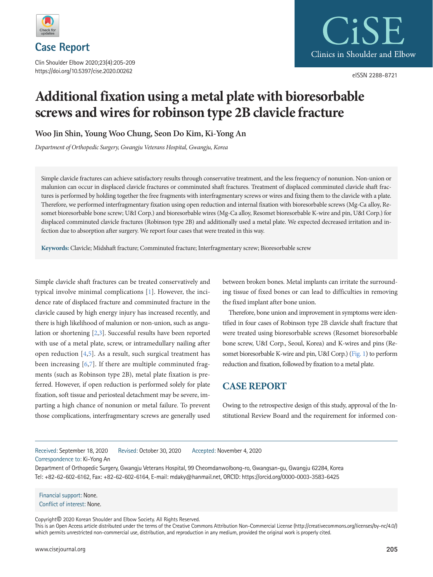

Clin Shoulder Elbow 2020;23(4):205-209 https://doi.org/10.5397/cise.2020.00262



eISSN 2288-8721

# **Additional fixation using a metal plate with bioresorbable screws and wires for robinson type 2B clavicle fracture**

**Woo Jin Shin, Young Woo Chung, Seon Do Kim, Ki-Yong An**

*Department of Orthopedic Surgery, Gwangju Veterans Hospital, Gwangju, Korea*

Simple clavicle fractures can achieve satisfactory results through conservative treatment, and the less frequency of nonunion. Non-union or malunion can occur in displaced clavicle fractures or comminuted shaft fractures. Treatment of displaced comminuted clavicle shaft fractures is performed by holding together the free fragments with interfragmentary screws or wires and fixing them to the clavicle with a plate. Therefore, we performed interfragmentary fixation using open reduction and internal fixation with bioresorbable screws (Mg-Ca alloy, Resomet bioresorbable bone screw; U&I Corp.) and bioresorbable wires (Mg-Ca alloy, Resomet bioresorbable K-wire and pin, U&I Corp.) for displaced comminuted clavicle fractures (Robinson type 2B) and additionally used a metal plate. We expected decreased irritation and infection due to absorption after surgery. We report four cases that were treated in this way.

**Keywords:** Clavicle; Midshaft fracture; Comminuted fracture; Interfragmentary screw; Bioresorbable screw

Simple clavicle shaft fractures can be treated conservatively and typical involve minimal complications [\[1](#page-3-0)]. However, the incidence rate of displaced fracture and comminuted fracture in the clavicle caused by high energy injury has increased recently, and there is high likelihood of malunion or non-union, such as angulation or shortening [\[2](#page-3-1)[,3\]](#page-3-2). Successful results have been reported with use of a metal plate, screw, or intramedullary nailing after open reduction [\[4](#page-3-3)[,5\]](#page-3-4). As a result, such surgical treatment has been increasing [\[6](#page-3-5),[7](#page-3-6)]. If there are multiple comminuted fragments (such as Robinson type 2B), metal plate fixation is preferred. However, if open reduction is performed solely for plate fixation, soft tissue and periosteal detachment may be severe, imparting a high chance of nonunion or metal failure. To prevent those complications, interfragmentary screws are generally used

between broken bones. Metal implants can irritate the surrounding tissue of fixed bones or can lead to difficulties in removing the fixed implant after bone union.

Therefore, bone union and improvement in symptoms were identified in four cases of Robinson type 2B clavicle shaft fracture that were treated using bioresorbable screws (Resomet bioresorbable bone screw, U&I Corp., Seoul, Korea) and K-wires and pins (Resomet bioresorbable K-wire and pin, U&I Corp.) [\(Fig. 1](#page-1-0)) to perform reduction and fixation, followed by fixation to a metal plate.

# **CASE REPORT**

Owing to the retrospective design of this study, approval of the Institutional Review Board and the requirement for informed con-

Received: September 18, 2020 Revised: October 30, 2020 Accepted: November 4, 2020

Correspondence to: Ki-Yong An

Department of Orthopedic Surgery, Gwangju Veterans Hospital, 99 Cheomdanwolbong-ro, Gwangsan-gu, Gwangju 62284, Korea Tel: +82-62-602-6162, Fax: +82-62-602-6164, E-mail: mdaky@hanmail.net, ORCID: https://orcid.org/0000-0003-3583-6425

Financial support: None. Conflict of interest: None.

Copyright© 2020 Korean Shoulder and Elbow Society. All Rights Reserved. This is an Open Access article distributed under the terms of the Creative Commons Attribution Non-Commercial License (http://creativecommons.org/licenses/by-nc/4.0/) which permits unrestricted non-commercial use, distribution, and reproduction in any medium, provided the original work is properly cited.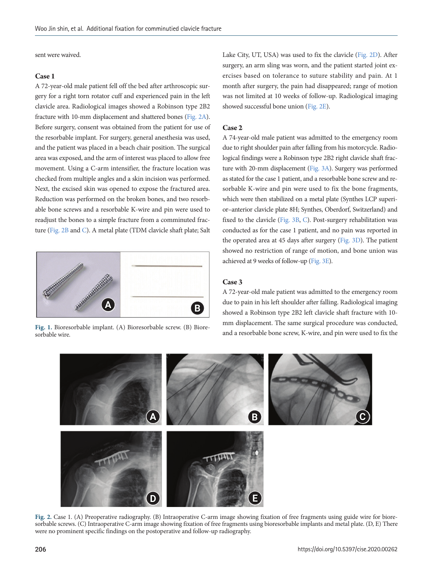sent were waived.

#### **Case 1**

A 72-year-old male patient fell off the bed after arthroscopic surgery for a right torn rotator cuff and experienced pain in the left clavicle area. Radiological images showed a Robinson type 2B2 fracture with 10-mm displacement and shattered bones [\(Fig. 2A\)](#page-1-1). Before surgery, consent was obtained from the patient for use of the resorbable implant. For surgery, general anesthesia was used, and the patient was placed in a beach chair position. The surgical area was exposed, and the arm of interest was placed to allow free movement. Using a C-arm intensifier, the fracture location was checked from multiple angles and a skin incision was performed. Next, the excised skin was opened to expose the fractured area. Reduction was performed on the broken bones, and two resorbable bone screws and a resorbable K-wire and pin were used to readjust the bones to a simple fracture from a comminuted fracture (Fig. [2B](#page-1-1) and [C\)](#page-1-1). A metal plate (TDM clavicle shaft plate; Salt

<span id="page-1-0"></span>

sorbable wire.

Lake City, UT, USA) was used to fix the clavicle (Fig. 2D). After surgery, an arm sling was worn, and the patient started joint exercises based on tolerance to suture stability and pain. At 1 month after surgery, the pain had disappeared; range of motion was not limited at 10 weeks of follow-up. Radiological imaging showed successful bone union (Fig. 2E).

### **Case 2**

A 74-year-old male patient was admitted to the emergency room due to right shoulder pain after falling from his motorcycle. Radiological findings were a Robinson type 2B2 right clavicle shaft fracture with 20-mm displacement [\(Fig. 3A](#page-3-7)). Surgery was performed as stated for the case 1 patient, and a resorbable bone screw and resorbable K-wire and pin were used to fix the bone fragments, which were then stabilized on a metal plate (Synthes LCP superior–anterior clavicle plate 8H; Synthes, Oberdorf, Switzerland) and fixed to the clavicle [\(Fig. 3B,](#page-3-7) [C\)](#page-3-7). Post-surgery rehabilitation was conducted as for the case 1 patient, and no pain was reported in the operated area at 45 days after surgery [\(Fig. 3D\)](#page-3-7). The patient showed no restriction of range of motion, and bone union was achieved at 9 weeks of follow-up ([Fig. 3E\)](#page-3-7).

#### **Case 3**

A 72-year-old male patient was admitted to the emergency room due to pain in his left shoulder after falling. Radiological imaging showed a Robinson type 2B2 left clavicle shaft fracture with 10 mm displacement. The same surgical procedure was conducted, Fig. 1. Bioresorbable implant. (A) Bioresorbable screw. (B) Biore-<br>sorbable bone screw, K-wire, and pin were used to fix the<br>same surged to fix the and a resorbable bone screw, K-wire, and pin were used to fix the

<span id="page-1-1"></span>

**Fig. 2.** Case 1. (A) Preoperative radiography. (B) Intraoperative C-arm image showing fixation of free fragments using guide wire for bioresorbable screws. (C) Intraoperative C-arm image showing fixation of free fragments using bioresorbable implants and metal plate. (D, E) There were no prominent specific findings on the postoperative and follow-up radiography.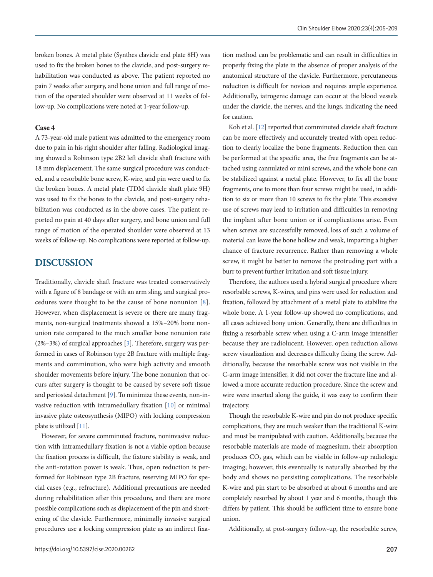broken bones. A metal plate (Synthes clavicle end plate 8H) was used to fix the broken bones to the clavicle, and post-surgery rehabilitation was conducted as above. The patient reported no pain 7 weeks after surgery, and bone union and full range of motion of the operated shoulder were observed at 11 weeks of follow-up. No complications were noted at 1-year follow-up.

## **Case 4**

A 73-year-old male patient was admitted to the emergency room due to pain in his right shoulder after falling. Radiological imaging showed a Robinson type 2B2 left clavicle shaft fracture with 18 mm displacement. The same surgical procedure was conducted, and a resorbable bone screw, K-wire, and pin were used to fix the broken bones. A metal plate (TDM clavicle shaft plate 9H) was used to fix the bones to the clavicle, and post-surgery rehabilitation was conducted as in the above cases. The patient reported no pain at 40 days after surgery, and bone union and full range of motion of the operated shoulder were observed at 13 weeks of follow-up. No complications were reported at follow-up.

## **DISCUSSION**

Traditionally, clavicle shaft fracture was treated conservatively with a figure of 8 bandage or with an arm sling, and surgical procedures were thought to be the cause of bone nonunion [[8\]](#page-3-8). However, when displacement is severe or there are many fragments, non-surgical treatments showed a 15%–20% bone nonunion rate compared to the much smaller bone nonunion rate (2%–3%) of surgical approaches [3]. Therefore, surgery was performed in cases of Robinson type 2B fracture with multiple fragments and comminution, who were high activity and smooth shoulder movements before injury. The bone nonunion that occurs after surgery is thought to be caused by severe soft tissue and periosteal detachment [\[9](#page-3-9)]. To minimize these events, non-invasive reduction with intramedullary fixation [\[10](#page-4-0)] or minimal invasive plate osteosynthesis (MIPO) with locking compression plate is utilized [\[11\]](#page-4-1).

However, for severe comminuted fracture, noninvasive reduction with intramedullary fixation is not a viable option because the fixation process is difficult, the fixture stability is weak, and the anti-rotation power is weak. Thus, open reduction is performed for Robinson type 2B fracture, reserving MIPO for special cases (e.g., refracture). Additional precautions are needed during rehabilitation after this procedure, and there are more possible complications such as displacement of the pin and shortening of the clavicle. Furthermore, minimally invasive surgical procedures use a locking compression plate as an indirect fixation method can be problematic and can result in difficulties in properly fixing the plate in the absence of proper analysis of the anatomical structure of the clavicle. Furthermore, percutaneous reduction is difficult for novices and requires ample experience. Additionally, iatrogenic damage can occur at the blood vessels under the clavicle, the nerves, and the lungs, indicating the need for caution.

Koh et al. [\[12\]](#page-4-2) reported that comminuted clavicle shaft fracture can be more effectively and accurately treated with open reduction to clearly localize the bone fragments. Reduction then can be performed at the specific area, the free fragments can be attached using cannulated or mini screws, and the whole bone can be stabilized against a metal plate. However, to fix all the bone fragments, one to more than four screws might be used, in addition to six or more than 10 screws to fix the plate. This excessive use of screws may lead to irritation and difficulties in removing the implant after bone union or if complications arise. Even when screws are successfully removed, loss of such a volume of material can leave the bone hollow and weak, imparting a higher chance of fracture recurrence. Rather than removing a whole screw, it might be better to remove the protruding part with a burr to prevent further irritation and soft tissue injury.

Therefore, the authors used a hybrid surgical procedure where resorbable screws, K-wires, and pins were used for reduction and fixation, followed by attachment of a metal plate to stabilize the whole bone. A 1-year follow-up showed no complications, and all cases achieved bony union. Generally, there are difficulties in fixing a resorbable screw when using a C-arm image intensifier because they are radiolucent. However, open reduction allows screw visualization and decreases difficulty fixing the screw. Additionally, because the resorbable screw was not visible in the C-arm image intensifier, it did not cover the fracture line and allowed a more accurate reduction procedure. Since the screw and wire were inserted along the guide, it was easy to confirm their trajectory.

Though the resorbable K-wire and pin do not produce specific complications, they are much weaker than the traditional K-wire and must be manipulated with caution. Additionally, because the resorbable materials are made of magnesium, their absorption produces  $CO<sub>2</sub>$  gas, which can be visible in follow-up radiologic imaging; however, this eventually is naturally absorbed by the body and shows no persisting complications. The resorbable K-wire and pin start to be absorbed at about 6 months and are completely resorbed by about 1 year and 6 months, though this differs by patient. This should be sufficient time to ensure bone union.

Additionally, at post-surgery follow-up, the resorbable screw,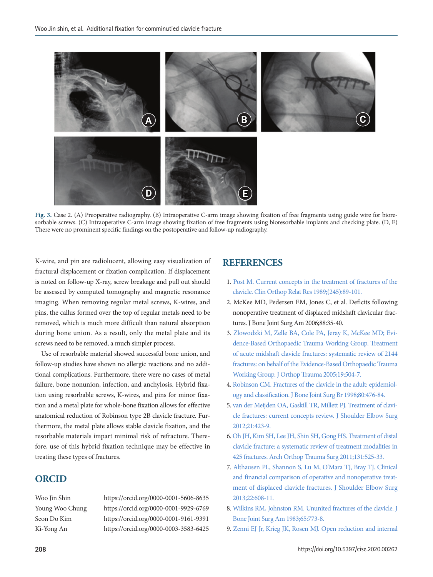<span id="page-3-7"></span>

**Fig. 3.** Case 2. (A) Preoperative radiography. (B) Intraoperative C-arm image showing fixation of free fragments using guide wire for bioresorbable screws. (C) Intraoperative C-arm image showing fixation of free fragments using bioresorbable implants and checking plate. (D, E) There were no prominent specific findings on the postoperative and follow-up radiography.

K-wire, and pin are radiolucent, allowing easy visualization of fractural displacement or fixation complication. If displacement is noted on follow-up X-ray, screw breakage and pull out should be assessed by computed tomography and magnetic resonance imaging. When removing regular metal screws, K-wires, and pins, the callus formed over the top of regular metals need to be removed, which is much more difficult than natural absorption during bone union. As a result, only the metal plate and its screws need to be removed, a much simpler process.

Use of resorbable material showed successful bone union, and follow-up studies have shown no allergic reactions and no additional complications. Furthermore, there were no cases of metal failure, bone nonunion, infection, and anchylosis. Hybrid fixation using resorbable screws, K-wires, and pins for minor fixation and a metal plate for whole-bone fixation allows for effective anatomical reduction of Robinson type 2B clavicle fracture. Furthermore, the metal plate allows stable clavicle fixation, and the resorbable materials impart minimal risk of refracture. Therefore, use of this hybrid fixation technique may be effective in treating these types of fractures.

## **ORCID**

Woo Jin Shin https://orcid.org/0000-0001-5606-8635 Young Woo Chung https://orcid.org/0000-0001-9929-6769 Seon Do Kim https://orcid.org/0000-0001-9161-9391 Ki-Yong An https://orcid.org/0000-0003-3583-6425

## <span id="page-3-2"></span>**REFERENCES**

- <span id="page-3-0"></span>1. [Post M. Current concepts in the treatment of fractures of the](https://doi.org/10.1097/00003086-198908000-00015) [clavicle. Clin Orthop Relat Res 1989;\(245\):89-101.](https://doi.org/10.1097/00003086-198908000-00015)
- <span id="page-3-1"></span>2. McKee MD, Pedersen EM, Jones C, et al. Deficits following nonoperative treatment of displaced midshaft clavicular fractures. J Bone Joint Surg Am 2006;88:35-40.
- 3. [Zlowodzki M, Zelle BA, Cole PA, Jeray K, McKee MD; Evi](https://doi.org/10.1097/01.bot.0000172287.44278.ef)[dence-Based Orthopaedic Trauma Working Group. Treatment](https://doi.org/10.1097/01.bot.0000172287.44278.ef) [of acute midshaft clavicle fractures: systematic review of 2144](https://doi.org/10.1097/01.bot.0000172287.44278.ef) [fractures: on behalf of the Evidence-Based Orthopaedic](https://doi.org/10.1097/01.bot.0000172287.44278.ef) Trauma Working Group. J Orthop Trauma 2005;19:504-7.
- <span id="page-3-3"></span>[4. Robinson CM. Fractures of the clavicle in the adult: epidemiol](https://doi.org/10.1302/0301-620X.80B3.0800476)[ogy and classification. J Bone Joint Surg Br 1998;80:476-84.](https://doi.org/10.1302/0301-620X.80B3.0800476)
- <span id="page-3-4"></span>[5. van der Meijden OA, Gaskill TR, Millett PJ. Treatment of clavi](https://doi.org/10.1016/j.jse.2011.08.053)[cle fractures: current concepts review. J Shoulder Elbow Surg](https://doi.org/10.1016/j.jse.2011.08.053) [2012;21:423-9.](https://doi.org/10.1016/j.jse.2011.08.053)
- <span id="page-3-5"></span>[6. Oh JH, Kim SH, Lee JH, Shin SH, Gong HS. Treatment of distal](https://doi.org/10.1007/s00402-010-1196-y)  [clavicle fracture: a systematic review of treatment modalities in](https://doi.org/10.1007/s00402-010-1196-y) [425 fractures. Arch Orthop Trauma Surg 2011;131:525-33](https://doi.org/10.1007/s00402-010-1196-y).
- <span id="page-3-6"></span>[7. Althausen PL, Shannon S, Lu M, O'Mara TJ, Bray TJ. Clinical](https://doi.org/10.1016/j.jse.2012.06.006) [and financial comparison of operative and nonoperative treat](https://doi.org/10.1016/j.jse.2012.06.006)[ment of displaced clavicle fractures. J Shoulder Elbow Surg](https://doi.org/10.1016/j.jse.2012.06.006) [2013;22:608-11.](https://doi.org/10.1016/j.jse.2012.06.006)
- <span id="page-3-8"></span>[8. Wilkins RM, Johnston RM. Ununited fractures of the clavicle. J](https://doi.org/10.2106/00004623-198365060-00008)  [Bone Joint Surg Am 1983;65:773-8](https://doi.org/10.2106/00004623-198365060-00008).
- <span id="page-3-9"></span>[9. Zenni EJ Jr, Krieg JK, Rosen MJ. Open reduction and internal](https://doi.org/10.2106/00004623-198163010-00019)